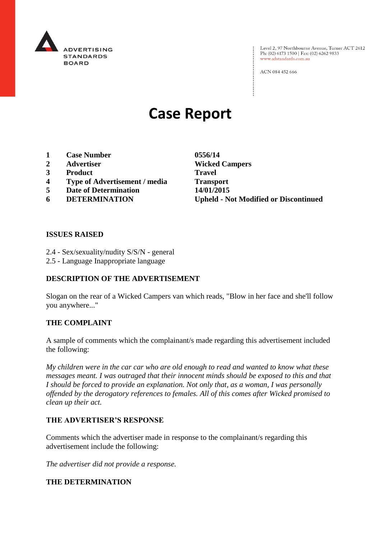

: Level 2, 97 Northbourne Avenue, Turner ACT 2612<br>: Ph: (02) 6173 1500 | Fax: (02) 6262 9833 Ph: (02) 6173 1500 | Fax: (02) 6262 9833 www.adstandards.com.au

ACN 084 452 666

# **Case Report**

- **1 Case Number 0556/14**
- 
- **3 Product Travel**
- **4 Type of Advertisement / media Transport**
- **5 Date of Determination 14/01/2015**
- 

**2 Advertiser Wicked Campers 6 DETERMINATION Upheld - Not Modified or Discontinued**

 $\vdots$ 

#### **ISSUES RAISED**

- 2.4 Sex/sexuality/nudity S/S/N general
- 2.5 Language Inappropriate language

### **DESCRIPTION OF THE ADVERTISEMENT**

Slogan on the rear of a Wicked Campers van which reads, "Blow in her face and she'll follow you anywhere..."

#### **THE COMPLAINT**

A sample of comments which the complainant/s made regarding this advertisement included the following:

*My children were in the car car who are old enough to read and wanted to know what these messages meant. I was outraged that their innocent minds should be exposed to this and that I should be forced to provide an explanation. Not only that, as a woman, I was personally offended by the derogatory references to females. All of this comes after Wicked promised to clean up their act.* 

#### **THE ADVERTISER'S RESPONSE**

Comments which the advertiser made in response to the complainant/s regarding this advertisement include the following:

*The advertiser did not provide a response.*

#### **THE DETERMINATION**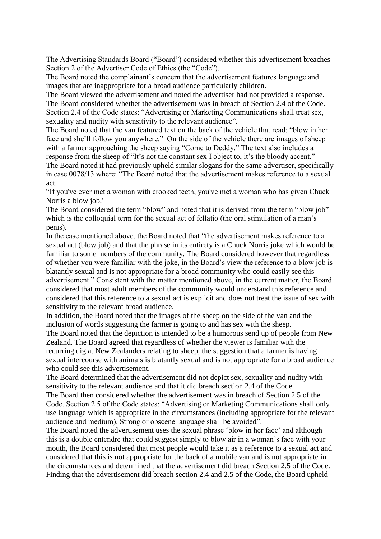The Advertising Standards Board ("Board") considered whether this advertisement breaches Section 2 of the Advertiser Code of Ethics (the "Code").

The Board noted the complainant's concern that the advertisement features language and images that are inappropriate for a broad audience particularly children.

The Board viewed the advertisement and noted the advertiser had not provided a response. The Board considered whether the advertisement was in breach of Section 2.4 of the Code. Section 2.4 of the Code states: "Advertising or Marketing Communications shall treat sex, sexuality and nudity with sensitivity to the relevant audience".

The Board noted that the van featured text on the back of the vehicle that read: "blow in her face and she'll follow you anywhere." On the side of the vehicle there are images of sheep with a farmer approaching the sheep saying "Come to Deddy." The text also includes a response from the sheep of "It's not the constant sex I object to, it's the bloody accent."

The Board noted it had previously upheld similar slogans for the same advertiser, specifically in case 0078/13 where: "The Board noted that the advertisement makes reference to a sexual act.

"If you've ever met a woman with crooked teeth, you've met a woman who has given Chuck Norris a blow job."

The Board considered the term "blow" and noted that it is derived from the term "blow job" which is the colloquial term for the sexual act of fellatio (the oral stimulation of a man's penis).

In the case mentioned above, the Board noted that "the advertisement makes reference to a sexual act (blow job) and that the phrase in its entirety is a Chuck Norris joke which would be familiar to some members of the community. The Board considered however that regardless of whether you were familiar with the joke, in the Board's view the reference to a blow job is blatantly sexual and is not appropriate for a broad community who could easily see this advertisement." Consistent with the matter mentioned above, in the current matter, the Board considered that most adult members of the community would understand this reference and considered that this reference to a sexual act is explicit and does not treat the issue of sex with sensitivity to the relevant broad audience.

In addition, the Board noted that the images of the sheep on the side of the van and the inclusion of words suggesting the farmer is going to and has sex with the sheep.

The Board noted that the depiction is intended to be a humorous send up of people from New Zealand. The Board agreed that regardless of whether the viewer is familiar with the recurring dig at New Zealanders relating to sheep, the suggestion that a farmer is having sexual intercourse with animals is blatantly sexual and is not appropriate for a broad audience who could see this advertisement.

The Board determined that the advertisement did not depict sex, sexuality and nudity with sensitivity to the relevant audience and that it did breach section 2.4 of the Code.

The Board then considered whether the advertisement was in breach of Section 2.5 of the Code. Section 2.5 of the Code states: "Advertising or Marketing Communications shall only use language which is appropriate in the circumstances (including appropriate for the relevant audience and medium). Strong or obscene language shall be avoided".

The Board noted the advertisement uses the sexual phrase 'blow in her face' and although this is a double entendre that could suggest simply to blow air in a woman's face with your mouth, the Board considered that most people would take it as a reference to a sexual act and considered that this is not appropriate for the back of a mobile van and is not appropriate in the circumstances and determined that the advertisement did breach Section 2.5 of the Code. Finding that the advertisement did breach section 2.4 and 2.5 of the Code, the Board upheld